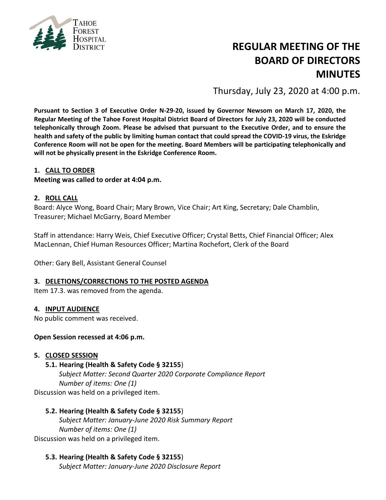

# **REGULAR MEETING OF THE BOARD OF DIRECTORS MINUTES**

Thursday, July 23, 2020 at 4:00 p.m.

**Pursuant to Section 3 of Executive Order N-29-20, issued by Governor Newsom on March 17, 2020, the Regular Meeting of the Tahoe Forest Hospital District Board of Directors for July 23, 2020 will be conducted telephonically through Zoom. Please be advised that pursuant to the Executive Order, and to ensure the health and safety of the public by limiting human contact that could spread the COVID-19 virus, the Eskridge Conference Room will not be open for the meeting. Board Members will be participating telephonically and will not be physically present in the Eskridge Conference Room.**

#### **1. CALL TO ORDER**

**Meeting was called to order at 4:04 p.m.**

#### **2. ROLL CALL**

Board: Alyce Wong, Board Chair; Mary Brown, Vice Chair; Art King, Secretary; Dale Chamblin, Treasurer; Michael McGarry, Board Member

Staff in attendance: Harry Weis, Chief Executive Officer; Crystal Betts, Chief Financial Officer; Alex MacLennan, Chief Human Resources Officer; Martina Rochefort, Clerk of the Board

Other: Gary Bell, Assistant General Counsel

#### **3. DELETIONS/CORRECTIONS TO THE POSTED AGENDA**

Item 17.3. was removed from the agenda.

#### **4. INPUT AUDIENCE**

No public comment was received.

#### **Open Session recessed at 4:06 p.m.**

#### **5. CLOSED SESSION**

#### **5.1. Hearing (Health & Safety Code § 32155**)

*Subject Matter: Second Quarter 2020 Corporate Compliance Report Number of items: One (1)* Discussion was held on a privileged item.

#### **5.2. Hearing (Health & Safety Code § 32155**)

*Subject Matter: January-June 2020 Risk Summary Report Number of items: One (1)* Discussion was held on a privileged item.

#### **5.3. Hearing (Health & Safety Code § 32155**)

*Subject Matter: January-June 2020 Disclosure Report*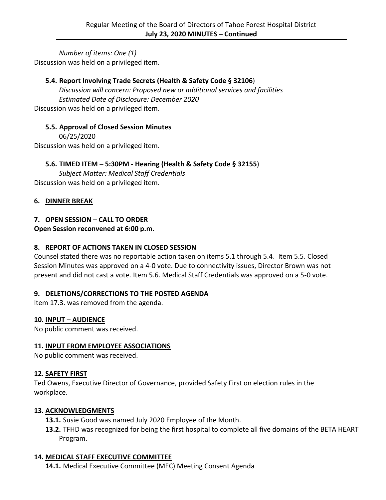*Number of items: One (1)* Discussion was held on a privileged item.

# **5.4. Report Involving Trade Secrets (Health & Safety Code § 32106**)

*Discussion will concern: Proposed new or additional services and facilities Estimated Date of Disclosure: December 2020* Discussion was held on a privileged item.

# **5.5. Approval of Closed Session Minutes**

06/25/2020 Discussion was held on a privileged item.

# **5.6. TIMED ITEM – 5:30PM - Hearing (Health & Safety Code § 32155**)

*Subject Matter: Medical Staff Credentials* Discussion was held on a privileged item.

#### **6. DINNER BREAK**

#### **7. OPEN SESSION – CALL TO ORDER**

**Open Session reconvened at 6:00 p.m.**

#### **8. REPORT OF ACTIONS TAKEN IN CLOSED SESSION**

Counsel stated there was no reportable action taken on items 5.1 through 5.4. Item 5.5. Closed Session Minutes was approved on a 4-0 vote. Due to connectivity issues, Director Brown was not present and did not cast a vote. Item 5.6. Medical Staff Credentials was approved on a 5-0 vote.

#### **9. DELETIONS/CORRECTIONS TO THE POSTED AGENDA**

Item 17.3. was removed from the agenda.

#### **10. INPUT – AUDIENCE**

No public comment was received.

#### **11. INPUT FROM EMPLOYEE ASSOCIATIONS**

No public comment was received.

#### **12. SAFETY FIRST**

Ted Owens, Executive Director of Governance, provided Safety First on election rules in the workplace.

#### **13. ACKNOWLEDGMENTS**

**13.1.** Susie Good was named July 2020 Employee of the Month.

**13.2.** TFHD was recognized for being the first hospital to complete all five domains of the BETA HEART Program.

#### **14. MEDICAL STAFF EXECUTIVE COMMITTEE**

**14.1.** Medical Executive Committee (MEC) Meeting Consent Agenda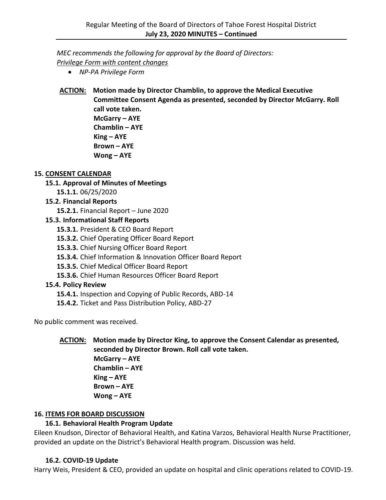*MEC recommends the following for approval by the Board of Directors: Privilege Form with content changes*

- *NP-PA Privilege Form*
- **ACTION: Motion made by Director Chamblin, to approve the Medical Executive Committee Consent Agenda as presented, seconded by Director McGarry. Roll call vote taken. McGarry – AYE Chamblin – AYE King – AYE Brown – AYE Wong – AYE**

#### **15. CONSENT CALENDAR**

# **15.1. Approval of Minutes of Meetings**

**15.1.1.** 06/25/2020

# **15.2. Financial Reports**

**15.2.1.** Financial Report – June 2020

# **15.3. Informational Staff Reports**

- **15.3.1.** President & CEO Board Report
- **15.3.2.** Chief Operating Officer Board Report
- **15.3.3.** Chief Nursing Officer Board Report
- **15.3.4.** Chief Information & Innovation Officer Board Report
- **15.3.5.** Chief Medical Officer Board Report
- **15.3.6.** Chief Human Resources Officer Board Report

# **15.4. Policy Review**

- **15.4.1.** Inspection and Copying of Public Records, ABD-14
- **15.4.2.** Ticket and Pass Distribution Policy, ABD-27

No public comment was received.

# **ACTION: Motion made by Director King, to approve the Consent Calendar as presented, seconded by Director Brown. Roll call vote taken.**

**McGarry – AYE Chamblin – AYE King – AYE Brown – AYE Wong – AYE**

# **16. ITEMS FOR BOARD DISCUSSION**

# **16.1. Behavioral Health Program Update**

Eileen Knudson, Director of Behavioral Health, and Katina Varzos, Behavioral Health Nurse Practitioner, provided an update on the District's Behavioral Health program. Discussion was held.

# **16.2. COVID-19 Update**

Harry Weis, President & CEO, provided an update on hospital and clinic operations related to COVID-19.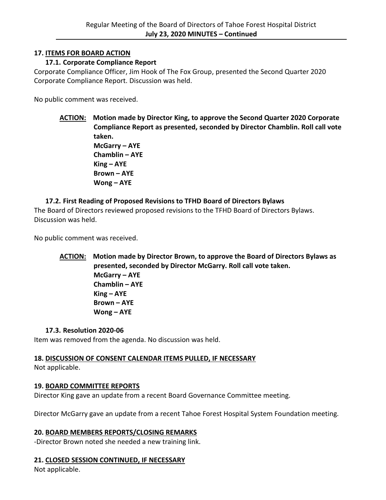#### **17. ITEMS FOR BOARD ACTION**

#### **17.1. Corporate Compliance Report**

Corporate Compliance Officer, Jim Hook of The Fox Group, presented the Second Quarter 2020 Corporate Compliance Report. Discussion was held.

No public comment was received.

**ACTION: Motion made by Director King, to approve the Second Quarter 2020 Corporate Compliance Report as presented, seconded by Director Chamblin. Roll call vote taken. McGarry – AYE Chamblin – AYE King – AYE Brown – AYE Wong – AYE**

# **17.2. First Reading of Proposed Revisions to TFHD Board of Directors Bylaws**

The Board of Directors reviewed proposed revisions to the TFHD Board of Directors Bylaws. Discussion was held.

No public comment was received.

**ACTION: Motion made by Director Brown, to approve the Board of Directors Bylaws as presented, seconded by Director McGarry. Roll call vote taken. McGarry – AYE Chamblin – AYE King – AYE Brown – AYE Wong – AYE**

#### **17.3. Resolution 2020-06**

Item was removed from the agenda. No discussion was held.

# **18. DISCUSSION OF CONSENT CALENDAR ITEMS PULLED, IF NECESSARY**

Not applicable.

#### **19. BOARD COMMITTEE REPORTS**

Director King gave an update from a recent Board Governance Committee meeting.

Director McGarry gave an update from a recent Tahoe Forest Hospital System Foundation meeting.

#### **20. BOARD MEMBERS REPORTS/CLOSING REMARKS**

-Director Brown noted she needed a new training link.

#### **21. CLOSED SESSION CONTINUED, IF NECESSARY**

Not applicable.